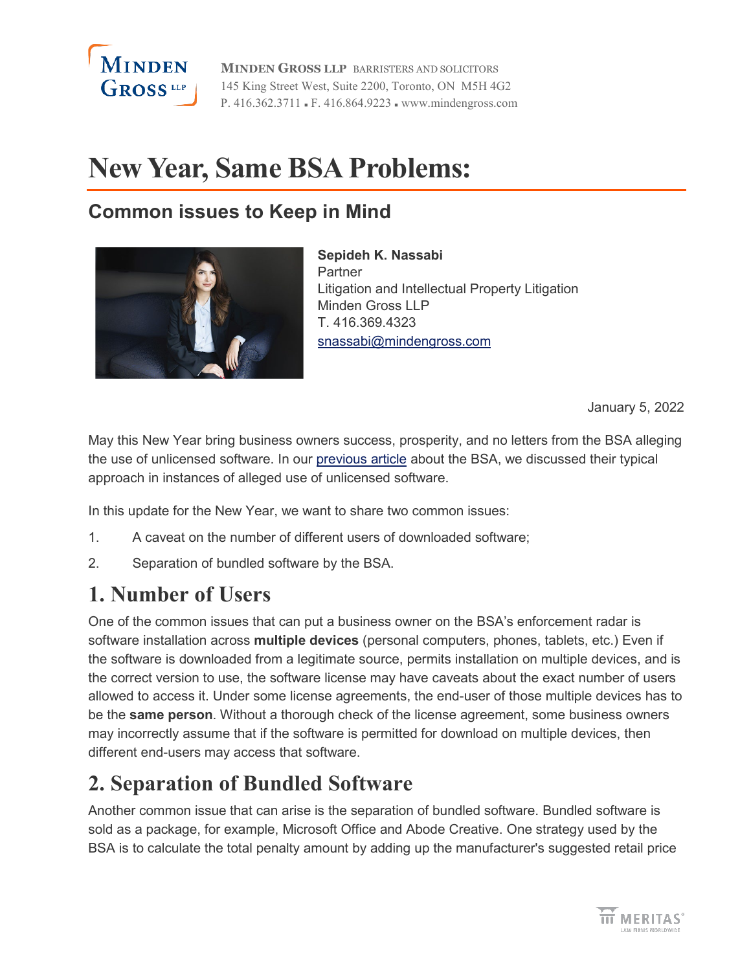

**MINDEN GROSS LLP** BARRISTERS AND SOLICITORS 145 King Street West, Suite 2200, Toronto, ON M5H 4G2 P. 416.362.3711 F. 416.864.9223 www.mindengross.com

## **New Year, Same BSA Problems:**

## **Common issues to Keep in Mind**



**Sepideh K. Nassabi** Partner Litigation and Intellectual Property Litigation Minden Gross LLP T. 416.369.4323 snassabi@mindengross.com

January 5, 2022

May this New Year bring business owners success, prosperity, and no letters from the BSA alleging the use of unlicensed software. In our [previous article](https://www.mindengross.com/client-services/industries/media-and-technology/bsa-the-software-alliance) about the BSA, we discussed their typical approach in instances of alleged use of unlicensed software.

In this update for the New Year, we want to share two common issues:

- 1. A caveat on the number of different users of downloaded software;
- 2. Separation of bundled software by the BSA.

## **1. Number of Users**

One of the common issues that can put a business owner on the BSA's enforcement radar is software installation across **multiple devices** (personal computers, phones, tablets, etc.) Even if the software is downloaded from a legitimate source, permits installation on multiple devices, and is the correct version to use, the software license may have caveats about the exact number of users allowed to access it. Under some license agreements, the end-user of those multiple devices has to be the **same person**. Without a thorough check of the license agreement, some business owners may incorrectly assume that if the software is permitted for download on multiple devices, then different end-users may access that software.

## **2. Separation of Bundled Software**

Another common issue that can arise is the separation of bundled software. Bundled software is sold as a package, for example, Microsoft Office and Abode Creative. One strategy used by the BSA is to calculate the total penalty amount by adding up the manufacturer's suggested retail price